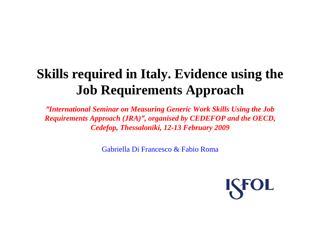# **Skills required in Italy. Evidence using the Job Requirements Approach**

*"International Seminar on Measuring Generic Work Skills Using the Job Requirements Approach (JRA) ", organised by CEDEFOP and the OECD, Cedefop, Thessaloniki, 12-13 February 2009*

Gabriella Di Francesco & Fabio Roma

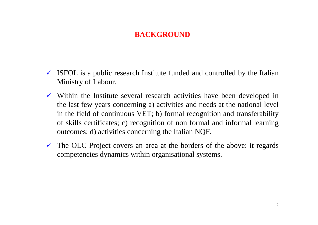## **BACKGROUND**

- $\checkmark$  ISFOL is a public research Institute funded and controlled by the Italian Ministry of Labour.
- $\checkmark$  Within the Institute several research activities have been developed in the last few years concerning a) activities and needs at the national level in the field of continuous VET; b) formal recognition and transferability of skills certificates; c) recognition of non formal and informal learning outcomes; d) activities concerning the Italian NQF.
- $\checkmark$  The OLC Project covers an area at the borders of the above: it regards competencies dynamics within organisational systems.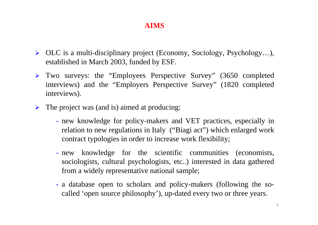#### **AIMS**

- ¾ OLC is a multi-disciplinary project (Economy, Sociology, Psychology…), established in March 2003, funded by ESF.
- ¾ Two surveys: the "Employees Perspective Survey" (3650 completed interviews) and the "Employers Perspective Survey" (1820 completed interviews).
- $\triangleright$  The project was (and is) aimed at producing:
	- new knowledge for policy-makers and VET practices, especially in relation to new regulations in Italy ("Biagi act") which enlarged work contract typologies in order to increase work flexibility;
	- new knowledge for the scientific communities (economists, sociologists, cultural psychologists, etc..) interested in data gathered from a widely representative national sample;
	- a database open to scholars and policy-makers (following the socalled 'open source philosophy'), up-dated every two or three years.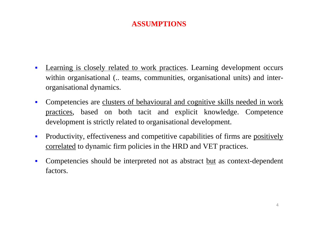#### **ASSUMPTIONS**

- $\blacksquare$ Learning is closely related to work practices. Learning development occurs within organisational (... teams, communities, organisational units) and interorganisational dynamics.
- $\blacksquare$ Competencies are clusters of behavioural and cognitive skills needed in work practices, based on both tacit and explicit knowledge. Competence development is strictly related to organisational development.
- $\blacksquare$ Productivity, effectiveness and competitive capabilities of firms are positively correlated to dynamic firm policies in the HRD and VET practices.
- $\blacksquare$ Competencies should be interpreted not as abstract <u>but</u> as context-dependent factors.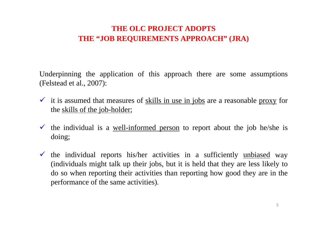## **THE OLC PROJECT ADOPTS THE "JOB REQUIREMENTS APPROACH" (JRA)**

Underpinning the application of this approach there are some assumptions (Felstead et al., 2007):

- $\checkmark$  it is assumed that measures of <u>skills in use in jobs</u> are a reasonable proxy for the skills of the job-holder;
- $\checkmark$  the individual is a <u>well-informed person</u> to report about the job he/she is doing;
- $\checkmark$  the individual reports his/her activities in a sufficiently unbiased way (individuals might talk up their jobs, but it is held that they are less likely to do so when reporting their activities than reporting how good they are in the performance of the same activities).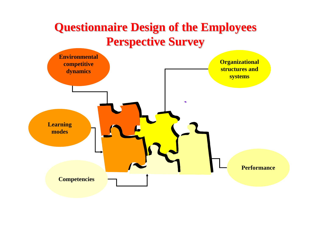# **Questionnaire Design of the Employees Questionnaire Design of the Employees Perspective Survey Perspective Survey**

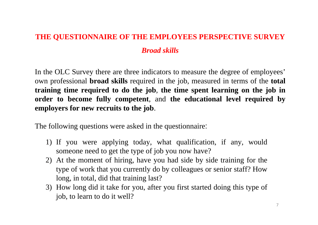# **THE QUESTIONNAIRE OF THE EMPLOYEES PERSPECTIVE SURVEY** *Broad skills*

In the OLC Survey there are three indicators to measure the degree of employees' own professional **broad skills** required in the job, measured in terms of the **total training time required to do the job**, **the time spent learning on the job in order to become fully competent**, and **the educational level required by employers for new recruits to the job**.

The following questions were asked in the questionnaire:

- 1) If you were applying today, what qualification, if any, would someone need to get the type of job you now have?
- 2) At the moment of hiring, have you had side by side training for the type of work that you currently do by colleagues or senior staff? How long, in total, did that training last?
- 3) How long did it take for you, after you first started doing this type of job, to learn to do it well?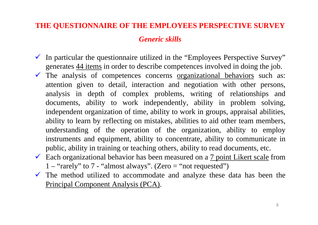#### **THE QUESTIONNAIRE OF THE EMPLOYEES PERSPECTIVE SURVEY**

#### *Generic skills*

- $\checkmark$  In particular the questionnaire utilized in the "Employees Perspective Survey" generates 44 items in order to describe competences involved in doing the job.
- $\checkmark$  The analysis of competences concerns <u>organizational behaviors</u> such as: attention given to detail, interaction and negotiation with other persons, analysis in depth of complex problems, writing of relationships and documents, ability to work independently, ability in problem solving, independent organization of time, ability to work in groups, appraisal abilities, ability to learn by reflecting on mistakes, abilities to aid other team members, understanding of the operation of the organization, ability to employ instruments and equipment, ability to concentrate, ability to communicate in public, ability in training or teaching others, ability to read documents, etc.
- Each organizational behavior has been measured on a  $\frac{7 \text{ point Likert scale}}{1000 \text{ cm}}$  $1 -$ "rarely" to  $7 -$ "almost always". (Zero = "not requested")
- $\checkmark$  The method utilized to accommodate and analyze these data has been the Principal Component Analysis (PCA).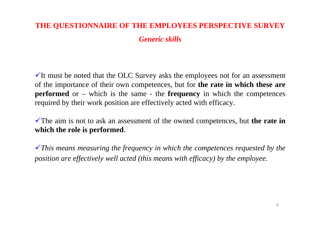#### **THE QUESTIONNAIRE OF THE EMPLOYEES PERSPECTIVE SURVEY**

*Generic skills*

 $\checkmark$  It must be noted that the OLC Survey asks the employees not for an assessment of the importance of their own competences, but for **the rate in which these are performed** or – which is the same - the **frequency** in which the competences required by their work position are effectively acted with efficacy.

The aim is not to ask an assessment of the owned competences, but **the rate in which the role is performed**.

<sup>9</sup>*This means measuring the frequency in which the competences requested by the position are effectively well acted (this means with efficacy) by the employee.*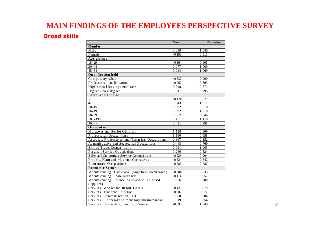#### **MAIN FINDINGS OF THE EMPLOYEES PERSPECTIVE SURVEY**

#### *Broad skills*

|                                                   | Mean     | Std. Dev iation |
|---------------------------------------------------|----------|-----------------|
| <b>Gender</b>                                     |          |                 |
| Male                                              | 0.099    | 1.040           |
| Female                                            | $-0.158$ | 0.911           |
| Age groups                                        |          |                 |
| $15 - 29$                                         | $-0.164$ | 0.905           |
| $30 - 44$                                         | 0.077    | 1.000           |
| $45 - 64$                                         | 0.014    | 1.069           |
| Qualification held                                |          |                 |
| Compulsory school                                 | $-0.632$ | 0.909           |
| Professiona l qua lification                      | $-0.067$ | 0.893           |
| High school leaving c ertificate                  | 0.348    | 0.871           |
| Deg ree / po st-deg ree                           | 0.811    | 0.795           |
| Establis hment size                               |          |                 |
| $1 - 3$                                           | $-0.174$ | 0.871           |
| $4 - 9$                                           | 0.043    | 1.011           |
| $10 - 15$                                         | 0.002    | 0.918           |
| $16 - 49$                                         | 0.092    | 1.018           |
| $50 - 99$                                         | 0.062    | 0.944           |
| $100 - 499$                                       | 0.161    | 1.118           |
| $500 - w$                                         | 0.431    | 0.998           |
| Occupation                                        |          |                 |
| Manage rs and Senior Officials                    | 1.138    | 0.809           |
| Professional Occupations                          | 1.160    | 0.658           |
| Associate Professional and Technical Occup ations | 0.867    | 0.852           |
| Ad ministrative and Secretarial Occupa tions      | 0.448    | 0.769           |
| Skilled Trades Occupa tions                       | 0.061    | 1.003           |
| Persona 1 S erv ice Oc cupa tions                 | 0.260    | 0.524           |
| Sales and Cu stome r Service Oc cupa tions        | $-0.226$ | 0.904           |
| Process, Plant and Machine Ope ratives            | $-0.524$ | 0.842           |
| Elem en tary Occup at ion s                       | $-0.786$ | 0.787           |
| Econo mi c Secto r                                |          |                 |
| Manufa cturing: Traditional (Suppliers Dominated) | $-0.284$ | 0.833           |
| Manufa cturing: Scale intensive                   | $-0.114$ | 0.957           |
| Manufa cturing: Science based and Sp ecialised    | 0.076    | 0.980           |
| Supp liers                                        |          |                 |
| Services: Who lesale, Retail, Ho tels             | $-0.128$ | 0.979           |
| Services: Transport, Storage                      | $-0.082$ | 0.977           |
| Services: Communication, ICT                      | 0.650    | 0.904           |
| Services: Financial and mone tary intermediation  | 0.919    | 0.854           |
| Services: Real e state, Ren ting, Reserach        | $-0.095$ | 1.040           |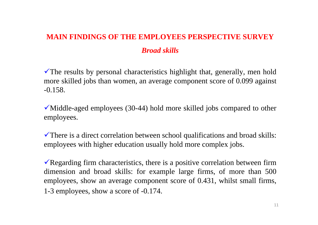# **MAIN FINDINGS OF THE EMPLOYEES PERSPECTIVE SURVEY** *Broad skills*

 $\checkmark$ The results by personal characteristics highlight that, generally, men hold more skilled jobs than women, an average component score of 0.099 against -0.158.

 $\checkmark$  Middle-aged employees (30-44) hold more skilled jobs compared to other employees.

 $\checkmark$  There is a direct correlation between school qualifications and broad skills: employees with higher education usually hold more complex jobs.

Regarding firm characteristics, there is a positive correlation between firm dimension and broad skills: for example large firms, of more than 500 employees, show an average component score of 0.431, whilst small firms, 1-3 employees, show a score of -0.174.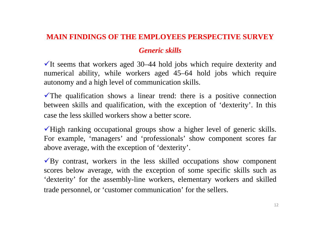#### **MAIN FINDINGS OF THE EMPLOYEES PERSPECTIVE SURVEY**

#### *Generic skills*

 $\checkmark$ It seems that workers aged 30–44 hold jobs which require dexterity and numerical ability, while workers aged 45–64 hold jobs which require autonomy and a high level of communication skills.

 $\checkmark$ The qualification shows a linear trend: there is a positive connection between skills and qualification, with the exception of 'dexterity'. In this case the less skilled workers show a better score.

 $\checkmark$ High ranking occupational groups show a higher level of generic skills. For example, 'managers' and 'professionals' show component scores far above average, with the exception of 'dexterity'.

 $\sqrt{By}$  contrast, workers in the less skilled occupations show component scores below average, with the exception of some specific skills such as 'dexterity' for the assembly-line workers, elementary workers and skilled trade personnel, or 'customer communication' for the sellers.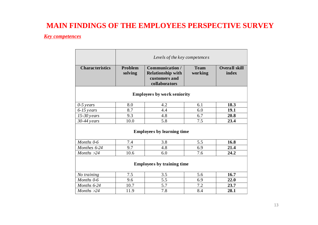#### **MAIN FINDINGS OF THE EMPLOYEES PERSPECTIVE SURVEY**

#### *Key competences*

|                                    | Levels of the key competences |                                                                               |                        |                               |  |
|------------------------------------|-------------------------------|-------------------------------------------------------------------------------|------------------------|-------------------------------|--|
| <b>Characteristics</b>             | Problem<br>solving            | Communication /<br><b>Relationship with</b><br>customers and<br>collaborators | <b>Team</b><br>working | <b>Overall skill</b><br>index |  |
| <b>Employees by work seniority</b> |                               |                                                                               |                        |                               |  |
| $0-5$ years                        | 8.0                           | 4.2                                                                           | 6.1                    | 18.3                          |  |
| $6-15$ years                       | 8.7                           | 4.4                                                                           | 6.0                    | 19.1                          |  |
| $15-30$ years                      | 9.3                           | 4.8                                                                           | 6.7                    | 20.8                          |  |
| $30-44$ years                      | 10.0                          | 5.8                                                                           | 7.5                    | 23.4                          |  |
| <b>Employees by learning time</b>  |                               |                                                                               |                        |                               |  |
| Months 0-6                         | 7.4                           | 3.8                                                                           | 5.5                    | 16.8                          |  |
| Monthes 6-24                       | 9.7                           | 4.8                                                                           | 6.9                    | 21.4                          |  |
| Months $>24$                       | 10.6                          | 6.0                                                                           | 7.6                    | 24.2                          |  |
| <b>Employees by training time</b>  |                               |                                                                               |                        |                               |  |
| No training                        | 7.5                           | 3.5                                                                           | 5.6                    | 16.7                          |  |
| Months 0-6                         | 9.6                           | 5.5                                                                           | 6.9                    | 22.0                          |  |
| Months 6-24                        | 10.7                          | 5.7                                                                           | 7.2                    | 23.7                          |  |
| Months $>24$                       | 11.9                          | 7.8                                                                           | 8.4                    | 28.1                          |  |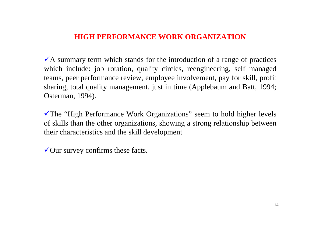#### **HIGH PERFORMANCE WORK ORGANIZATION**

 $\overline{A}$  summary term which stands for the introduction of a range of practices which include: job rotation, quality circles, reengineering, self managed teams, peer performance review, employee involvement, pay for skill, profit sharing, total quality management, just in time (Applebaum and Batt, 1994; Osterman, 1994).

 $\checkmark$ The "High Performance Work Organizations" seem to hold higher levels of skills than the other organizations, showing a strong relationship between their characteristics and the skill development

 $\sqrt{\text{O}}$  our survey confirms these facts.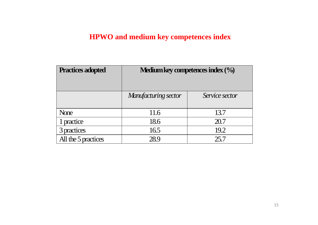## **HPWO and medium key competences index**

| <b>Practices adopted</b> | <b>Medium key competences index <math>(\%</math></b> |                |  |
|--------------------------|------------------------------------------------------|----------------|--|
|                          | Manufacturing sector                                 | Service sector |  |
| None                     | 11.6                                                 | 13.7           |  |
| 1 practice               | 18.6                                                 | 20.7           |  |
| 3 practices              | 16.5                                                 | 19.2           |  |
| All the 5 practices      | 28.9                                                 | 25.7           |  |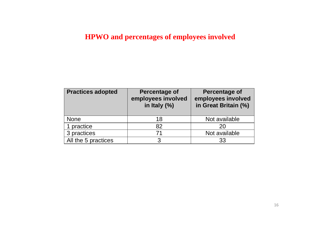## **HPWO and percentages of employees involved**

| <b>Practices adopted</b> | Percentage of<br>employees involved<br>in Italy $(\%)$ | Percentage of<br>employees involved<br>in Great Britain (%) |
|--------------------------|--------------------------------------------------------|-------------------------------------------------------------|
| <b>None</b>              | 18                                                     | Not available                                               |
| 1 practice               | 82                                                     | 20                                                          |
| 3 practices              | 71                                                     | Not available                                               |
| All the 5 practices      | っ                                                      | 33                                                          |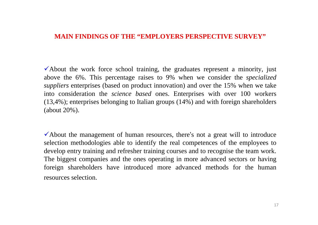#### **MAIN FINDINGS OF THE "EMPLOYERS PERSPECTIVE SURVEY"**

 $\checkmark$  About the work force school training, the graduates represent a minority, just above the 6%. This percentage raises to 9% when we consider the *specialized suppliers* enterprises (based on product innovation) and over the 15% when we take into consideration the *science based* ones. Enterprises with over 100 workers (13,4%); enterprises belonging to Italian groups (14%) and with foreign shareholders (about 20%).

 $\checkmark$  About the management of human resources, there's not a great will to introduce selection methodologies able to identify the real competences of the employees to develop entry training and refresher training courses and to recognise the team work. The biggest companies and the ones operating in more advanced sectors or having foreign shareholders have introduced more advanced methods for the human resources selection.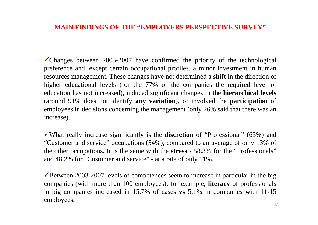#### **MAIN FINDINGS OF THE "EMPLOYERS PERSPECTIVE SURVEY"**

 $\checkmark$ Changes between 2003-2007 have confirmed the priority of the technological preference and, except certain occupational profiles, a minor investment in human resources management. These changes have not determined a **shift** in the direction of higher educational levels (for the 77% of the companies the required level of education has not increased), induced significant changes in the **hierarchical levels** (around 91% does not identify **any variation**), or involved the **participation** of employees in decisions concerning the management (only 26% said that there was an increase).

<sup>9</sup>What really increase significantly is the **discretion** of "Professional" (65%) and "Customer and service" occupations (54%), compared to an average of only 13% of the other occupations. It is the same with the **stress** - 58.3% for the "Professionals" and 48.2% for "Customer and service" - at a rate of only 11%.

 $\sqrt{\text{Between 2003-2007}}$  levels of competences seem to increase in particular in the big companies (with more than 100 employees): for example, **literacy** of professionals in big companies increased in 15.7% of cases **vs** 5.1% in companies with 11-15 employees.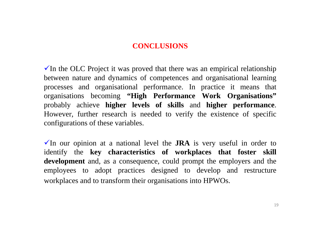#### **CONCLUSIONS**

 $\checkmark$  In the OLC Project it was proved that there was an empirical relationship between nature and dynamics of competences and organisational learning processes and organisational performance. In practice it means that organisations becoming **"High Performance Work Organisations"** probably achieve **higher levels of skills** and **higher performance**. However, further research is needed to verify the existence of specific configurations of these variables.

 $\checkmark$  In our opinion at a national level the **JRA** is very useful in order to identify the **key characteristics of workplaces that foster skill development** and, as a consequence, could prompt the employers and the employees to adopt practices designed to develop and restructure workplaces and to transform their organisations into HPWOs.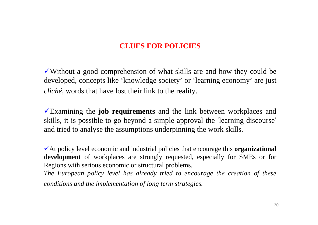#### **CLUES FOR POLICIES**

 $\checkmark$  Without a good comprehension of what skills are and how they could be developed, concepts like 'knowledge society' or 'learning economy' are just *cliché*, words that have lost their link to the reality.

<sup>9</sup>Examining the **job requirements** and the link between workplaces and skills, it is possible to go beyond <u>a simple approval</u> the 'learning discourse' and tried to analyse the assumptions underpinning the work skills.

<sup>9</sup>At policy level economic and industrial policies that encourage this **organizational development** of workplaces are strongly requested, especially for SMEs or for Regions with serious economic or structural problems.

*The European policy level has already tried to encourage the creation of these conditions and the implementation of long term strategies.*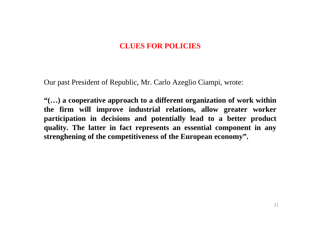#### **CLUES FOR POLICIES**

Our past President of Republic, Mr. Carlo Azeglio Ciampi, wrote:

**"(…) a cooperative approach to a different organization of work within the firm will improve industrial relations, allow greater worker participation in decisions and potentially lead to a better product quality. The latter in fact represents an essential component in any strenghening of the competitiveness of the European economy".**